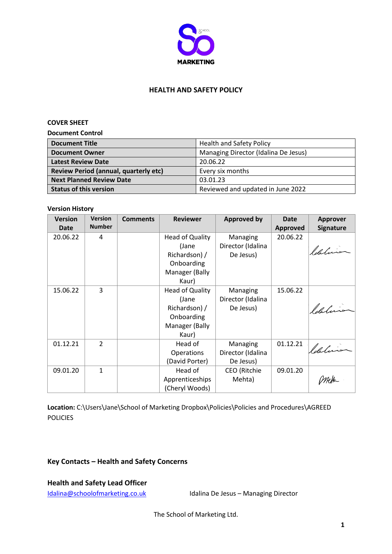

#### **HEALTH AND SAFETY POLICY**

#### **COVER SHEET**

**Document Control**

| <b>Document Title</b>                 | <b>Health and Safety Policy</b>      |
|---------------------------------------|--------------------------------------|
| <b>Document Owner</b>                 | Managing Director (Idalina De Jesus) |
| <b>Latest Review Date</b>             | 20.06.22                             |
| Review Period (annual, quarterly etc) | Every six months                     |
| <b>Next Planned Review Date</b>       | 03.01.23                             |
| <b>Status of this version</b>         | Reviewed and updated in June 2022    |

#### **Version History**

| <b>Version</b><br><b>Date</b> | <b>Version</b><br><b>Number</b> | <b>Comments</b> | <b>Reviewer</b> | <b>Approved by</b> | <b>Date</b><br><b>Approved</b> | <b>Approver</b><br><b>Signature</b> |
|-------------------------------|---------------------------------|-----------------|-----------------|--------------------|--------------------------------|-------------------------------------|
| 20.06.22                      | 4                               |                 | Head of Quality | Managing           | 20.06.22                       |                                     |
|                               |                                 |                 | (Jane           | Director (Idalina  |                                | Idelinia                            |
|                               |                                 |                 | Richardson) /   | De Jesus)          |                                |                                     |
|                               |                                 |                 | Onboarding      |                    |                                |                                     |
|                               |                                 |                 | Manager (Bally  |                    |                                |                                     |
|                               |                                 |                 | Kaur)           |                    |                                |                                     |
| 15.06.22                      | 3                               |                 | Head of Quality | Managing           | 15.06.22                       |                                     |
|                               |                                 |                 | (Jane           | Director (Idalina  |                                |                                     |
|                               |                                 |                 | Richardson) /   | De Jesus)          |                                | ldelision                           |
|                               |                                 |                 | Onboarding      |                    |                                |                                     |
|                               |                                 |                 | Manager (Bally  |                    |                                |                                     |
|                               |                                 |                 | Kaur)           |                    |                                |                                     |
| 01.12.21                      | $\mathcal{P}$                   |                 | Head of         | Managing           | 01.12.21                       | ldalino                             |
|                               |                                 |                 | Operations      | Director (Idalina  |                                |                                     |
|                               |                                 |                 | (David Porter)  | De Jesus)          |                                |                                     |
| 09.01.20                      | $\mathbf{1}$                    |                 | Head of         | CEO (Ritchie       | 09.01.20                       |                                     |
|                               |                                 |                 | Apprenticeships | Mehta)             |                                |                                     |
|                               |                                 |                 | (Cheryl Woods)  |                    |                                |                                     |

Location: C:\Users\Jane\School of Marketing Dropbox\Policies\Policies and Procedures\AGREED POLICIES

# **Key Contacts – Health and Safety Concerns**

**Health and Safety Lead Officer**

[Idalina@schoolofmarketing.co.uk](mailto:Idalina@schoolofmarketing.co.uk) Idalina De Jesus – Managing Director

The School of Marketing Ltd.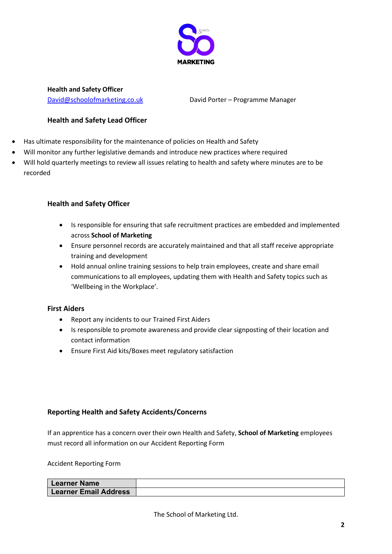

**Health and Safety Officer**

[David@schoolofmarketing.co.uk](mailto:David@schoolofmarketing.co.uk) David Porter – Programme Manager

### **Health and Safety Lead Officer**

- Has ultimate responsibility for the maintenance of policies on Health and Safety
- x Will monitor any further legislative demands and introduce new practices where required
- Will hold quarterly meetings to review all issues relating to health and safety where minutes are to be recorded

### **Health and Safety Officer**

- Is responsible for ensuring that safe recruitment practices are embedded and implemented across **School of Marketing**
- Ensure personnel records are accurately maintained and that all staff receive appropriate training and development
- Hold annual online training sessions to help train employees, create and share email communications to all employees, updating them with Health and Safety topics such as 'Wellbeing in the Workplace'.

# **First Aiders**

- Report any incidents to our Trained First Aiders
- Is responsible to promote awareness and provide clear signposting of their location and contact information
- Ensure First Aid kits/Boxes meet regulatory satisfaction

# **Reporting Health and Safety Accidents/Concerns**

If an apprentice has a concern over their own Health and Safety, **School of Marketing** employees must record all information on our Accident Reporting Form

Accident Reporting Form

| ' Learner Name               |  |
|------------------------------|--|
| <b>Learner Email Address</b> |  |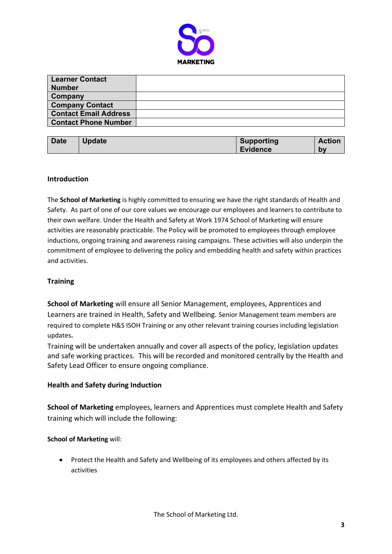

| Learner Contact              |  |
|------------------------------|--|
| <b>Number</b>                |  |
| <b>Company</b>               |  |
| <b>Company Contact</b>       |  |
| <b>Contact Email Address</b> |  |
| <b>Contact Phone Number</b>  |  |

| <b>Date</b> | <b>Update</b> | <b>Supporting</b> | <b>Action</b> |
|-------------|---------------|-------------------|---------------|
|             |               | <b>Evidence</b>   | bv            |

#### **Introduction**

The **School of Marketing** is highly committed to ensuring we have the right standards of Health and Safety. As part of one of our core values we encourage our employees and learners to contribute to their own welfare. Under the Health and Safety at Work 1974 School of Marketing will ensure activities are reasonably practicable. The Policy will be promoted to employees through employee inductions, ongoing training and awareness raising campaigns. These activities will also underpin the commitment of employee to delivering the policy and embedding health and safety within practices and activities.

# **Training**

**School of Marketing** will ensure all Senior Management, employees, Apprentices and Learners are trained in Health, Safety and Wellbeing. Senior Management team members are required to complete H&S ISOH Training or any other relevant training courses including legislation updates**.**

Training will be undertaken annually and cover all aspects of the policy, legislation updates and safe working practices. This will be recorded and monitored centrally by the Health and Safety Lead Officer to ensure ongoing compliance.

#### **Health and Safety during Induction**

**School of Marketing** employees, learners and Apprentices must complete Health and Safety training which will include the following:

#### **School of Marketing** will:

• Protect the Health and Safety and Wellbeing of its employees and others affected by its activities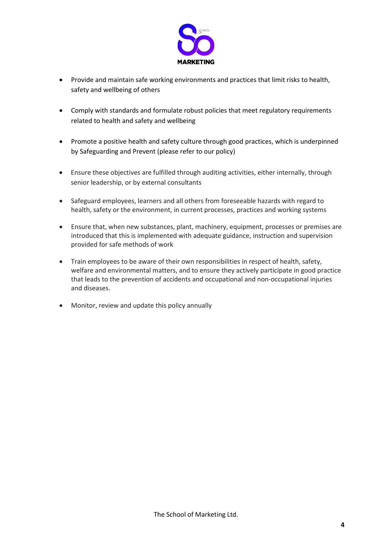

- Provide and maintain safe working environments and practices that limit risks to health, safety and wellbeing of others
- Comply with standards and formulate robust policies that meet regulatory requirements related to health and safety and wellbeing
- Promote a positive health and safety culture through good practices, which is underpinned by Safeguarding and Prevent (please refer to our policy)
- Ensure these objectives are fulfilled through auditing activities, either internally, through senior leadership, or by external consultants
- Safeguard employees, learners and all others from foreseeable hazards with regard to health, safety or the environment, in current processes, practices and working systems
- Ensure that, when new substances, plant, machinery, equipment, processes or premises are introduced that this is implemented with adequate guidance, instruction and supervision provided for safe methods of work
- Train employees to be aware of their own responsibilities in respect of health, safety, welfare and environmental matters, and to ensure they actively participate in good practice that leads to the prevention of accidents and occupational and non-occupational injuries and diseases.
- Monitor, review and update this policy annually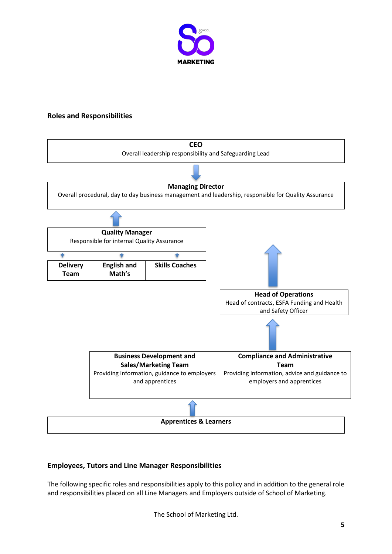

### **Roles and Responsibilities**



# **Employees, Tutors and Line Manager Responsibilities**

The following specific roles and responsibilities apply to this policy and in addition to the general role and responsibilities placed on all Line Managers and Employers outside of School of Marketing.

The School of Marketing Ltd.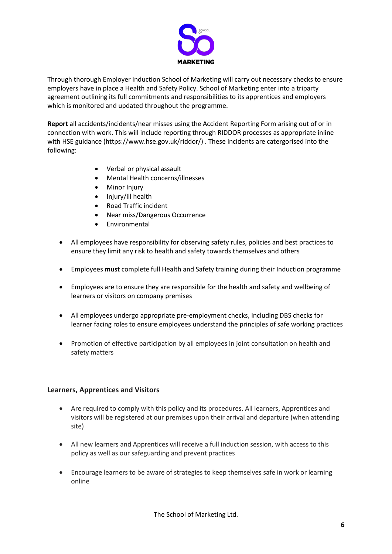

Through thorough Employer induction School of Marketing will carry out necessary checks to ensure employers have in place a Health and Safety Policy. School of Marketing enter into a triparty agreement outlining its full commitments and responsibilities to its apprentices and employers which is monitored and updated throughout the programme.

**Report** all accidents/incidents/near misses using the Accident Reporting Form arising out of or in connection with work. This will include reporting through RIDDOR processes as appropriate inline with HSE guidance (https://www.hse.gov.uk/riddor/) . These incidents are catergorised into the following:

- Verbal or physical assault
- x Mental Health concerns/illnesses
- **Minor Injury**
- Injury/ill health
- x Road Traffic incident
- Near miss/Dangerous Occurrence
- Environmental
- All employees have responsibility for observing safety rules, policies and best practices to ensure they limit any risk to health and safety towards themselves and others
- x Employees **must** complete full Health and Safety training during their Induction programme
- Employees are to ensure they are responsible for the health and safety and wellbeing of learners or visitors on company premises
- All employees undergo appropriate pre-employment checks, including DBS checks for learner facing roles to ensure employees understand the principles of safe working practices
- Promotion of effective participation by all employees in joint consultation on health and safety matters

#### **Learners, Apprentices and Visitors**

- Are required to comply with this policy and its procedures. All learners, Apprentices and visitors will be registered at our premises upon their arrival and departure (when attending site)
- All new learners and Apprentices will receive a full induction session, with access to this policy as well as our safeguarding and prevent practices
- Encourage learners to be aware of strategies to keep themselves safe in work or learning online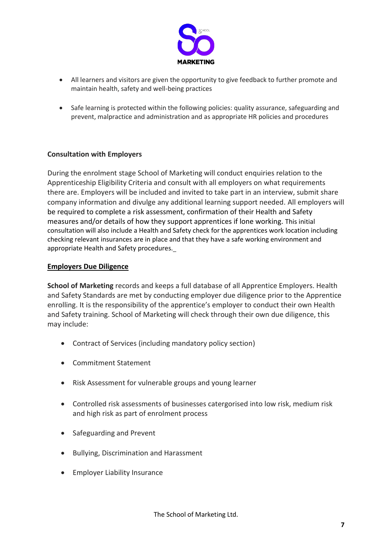

- All learners and visitors are given the opportunity to give feedback to further promote and maintain health, safety and well-being practices
- Safe learning is protected within the following policies: quality assurance, safeguarding and prevent, malpractice and administration and as appropriate HR policies and procedures

### **Consultation with Employers**

During the enrolment stage School of Marketing will conduct enquiries relation to the Apprenticeship Eligibility Criteria and consult with all employers on what requirements there are. Employers will be included and invited to take part in an interview, submit share company information and divulge any additional learning support needed. All employers will be required to complete a risk assessment, confirmation of their Health and Safety measures and/or details of how they support apprentices if lone working. This initial consultation will also include a Health and Safety check for the apprentices work location including checking relevant insurances are in place and that they have a safe working environment and appropriate Health and Safety procedures.

#### **Employers Due Diligence**

**School of Marketing** records and keeps a full database of all Apprentice Employers. Health and Safety Standards are met by conducting employer due diligence prior to the Apprentice enrolling. It is the responsibility of the apprentice's employer to conduct their own Health and Safety training. School of Marketing will check through their own due diligence, this may include:

- Contract of Services (including mandatory policy section)
- Commitment Statement
- Risk Assessment for vulnerable groups and young learner
- Controlled risk assessments of businesses catergorised into low risk, medium risk and high risk as part of enrolment process
- Safeguarding and Prevent
- Bullying, Discrimination and Harassment
- Employer Liability Insurance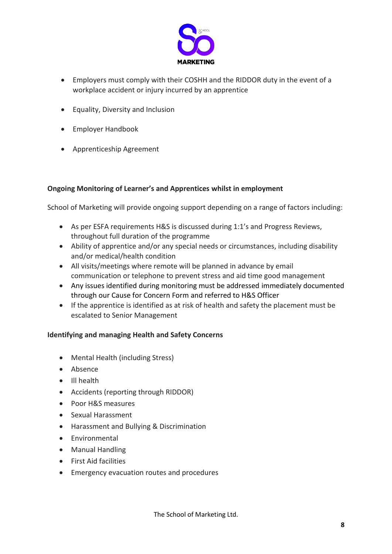

- Employers must comply with their COSHH and the RIDDOR duty in the event of a workplace accident or injury incurred by an apprentice
- $\bullet$  Equality, Diversity and Inclusion
- Employer Handbook
- Apprenticeship Agreement

### **Ongoing Monitoring of Learner's and Apprentices whilst in employment**

School of Marketing will provide ongoing support depending on a range of factors including:

- As per ESFA requirements H&S is discussed during 1:1's and Progress Reviews, throughout full duration of the programme
- Ability of apprentice and/or any special needs or circumstances, including disability and/or medical/health condition
- All visits/meetings where remote will be planned in advance by email communication or telephone to prevent stress and aid time good management
- Any issues identified during monitoring must be addressed immediately documented through our Cause for Concern Form and referred to H&S Officer
- If the apprentice is identified as at risk of health and safety the placement must be escalated to Senior Management

# **Identifying and managing Health and Safety Concerns**

- Mental Health (including Stress)
- Absence
- Ill health
- Accidents (reporting through RIDDOR)
- Poor H&S measures
- Sexual Harassment
- Harassment and Bullying & Discrimination
- $\bullet$  Environmental
- Manual Handling
- First Aid facilities
- Emergency evacuation routes and procedures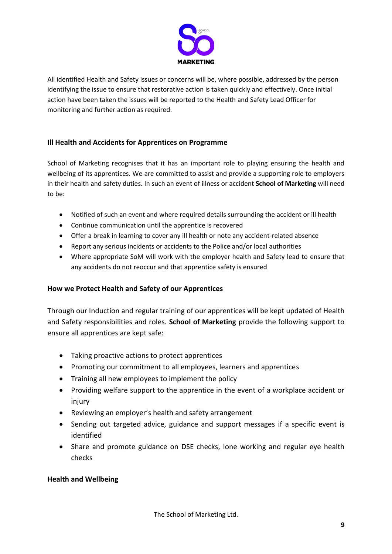

All identified Health and Safety issues or concerns will be, where possible, addressed by the person identifying the issue to ensure that restorative action is taken quickly and effectively. Once initial action have been taken the issues will be reported to the Health and Safety Lead Officer for monitoring and further action as required.

# **Ill Health and Accidents for Apprentices on Programme**

School of Marketing recognises that it has an important role to playing ensuring the health and wellbeing of its apprentices. We are committed to assist and provide a supporting role to employers in their health and safety duties. In such an event of illness or accident **School of Marketing** will need to be:

- Notified of such an event and where required details surrounding the accident or ill health
- Continue communication until the apprentice is recovered
- Offer a break in learning to cover any ill health or note any accident-related absence
- Report any serious incidents or accidents to the Police and/or local authorities
- Where appropriate SoM will work with the employer health and Safety lead to ensure that any accidents do not reoccur and that apprentice safety is ensured

# **How we Protect Health and Safety of our Apprentices**

Through our Induction and regular training of our apprentices will be kept updated of Health and Safety responsibilities and roles. **School of Marketing** provide the following support to ensure all apprentices are kept safe:

- Taking proactive actions to protect apprentices
- Promoting our commitment to all employees, learners and apprentices
- Training all new employees to implement the policy
- Providing welfare support to the apprentice in the event of a workplace accident or injury
- Reviewing an employer's health and safety arrangement
- Sending out targeted advice, guidance and support messages if a specific event is identified
- Share and promote guidance on DSE checks, lone working and regular eye health checks

# **Health and Wellbeing**